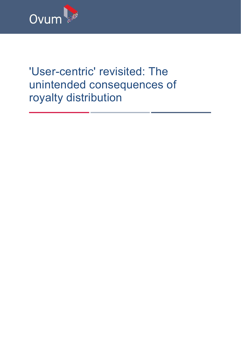

# 'User-centric' revisited: The unintended consequences of royalty distribution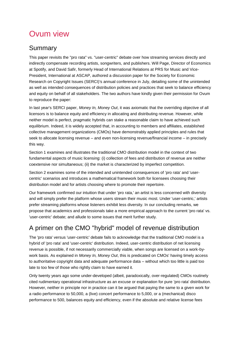# Ovum view

## Summary

This paper revisits the "pro rata" vs. "user-centric" debate over how streaming services directly and indirectly compensate recording artists, songwriters, and publishers. Will Page, Director of Economics at Spotify, and David Safir, formerly Head of International Relations at PRS for Music and Vice-President, International at ASCAP, authored a discussion paper for the Society for Economic Research on Copyright Issues (SERCI)'s annual conference in July, detailing some of the unintended as well as intended consequences of distribution policies and practices that seek to balance efficiency and equity on behalf of all stakeholders. The two authors have kindly given their permission for Ovum to reproduce the paper:

In last year's SERCI paper, *Money In, Money Out*, it was axiomatic that the overriding objective of all licensors is to balance equity and efficiency in allocating and distributing revenue. However, while neither model is perfect, pragmatic hybrids can stake a reasonable claim to have achieved such equilibrium. Indeed, it is widely accepted that, in accounting to members and affiliates, established collective management organizations (CMOs) have demonstrably applied principles and rules that seek to allocate licensing revenue – and even non-licensing revenue/financial income – in precisely this way.

Section 1 examines and illustrates the traditional CMO distribution model in the context of two fundamental aspects of music licensing: (i) collection of fees and distribution of revenue are neither coextensive nor simultaneous; (ii) the market is characterized by imperfect competition.

Section 2 examines some of the intended and unintended consequences of 'pro rata' and 'usercentric' scenarios and introduces a mathematical framework both for licensees choosing their distribution model and for artists choosing where to promote their repertoire.

Our framework confirmed our intuition that under 'pro rata,' an artist is less concerned with diversity and will simply prefer the platform whose users stream their music most. Under 'user-centric,' artists prefer streaming platforms whose listeners exhibit less diversity. In our concluding remarks, we propose that academics and professionals take a more empirical approach to the current 'pro rata' vs. 'user-centric' debate; and allude to some issues that merit further study.

# A primer on the CMO "hybrid" model of revenue distribution

The 'pro rata' versus 'user-centric' debate fails to acknowledge that the traditional CMO model is a hybrid of 'pro rata' and 'user-centric' distribution. Indeed, user-centric distribution of net licensing revenue is possible, if not necessarily commercially viable, when songs are licensed on a work-bywork basis. As explained in *Money In, Money Out*, this is predicated on CMOs' having timely access to authoritative copyright data and adequate performance data – without which too little is paid too late to too few of those who rightly claim to have earned it.

Only twenty years ago some under-developed (albeit, paradoxically, over-regulated) CMOs routinely cited rudimentary operational infrastructure as an excuse or explanation for pure 'pro rata' distribution. However, neither in principle nor in practice can it be argued that paying the same to a given work for a radio performance to 50,000, a (live) concert performance to 5,000, or a (mechanical) disco performance to 500, balances equity and efficiency, even if the absolute and relative license fees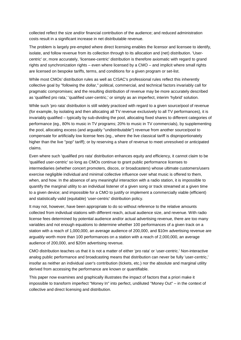collected reflect the size and/or financial contribution of the audience; and reduced administration costs result in a significant increase in net distributable revenue.

The problem is largely pre-empted where direct licensing enables the licensor and licensee to identify, isolate, and follow revenue from its collection through to its allocation and (net) distribution. 'Usercentric' or, more accurately, 'licensee-centric' distribution is therefore axiomatic with regard to grand rights and synchronization rights – even where licensed by a CMO – and implicit where small rights are licensed on bespoke tariffs, terms, and conditions for a given program or set-list.

While most CMOs' distribution rules as well as CISAC's professional rules reflect this inherently collective goal by "following the dollar," political, commercial, and technical factors invariably call for pragmatic compromises; and the resulting distribution of revenue may be more accurately described as 'qualified pro rata,' 'qualified user-centric,' or simply as an imperfect, interim 'hybrid' solution.

While such 'pro rata' distribution is still widely practiced with regard to a given source/pool of revenue (for example, by isolating and then allocating all TV revenue exclusively to all TV performances), it is invariably qualified – typically by sub-dividing the pool, allocating fixed shares to different categories of performance (eg., 80% to music in TV programs; 20% to music in TV commercials), by supplementing the pool, allocating excess (and arguably "undistributable") revenue from another source/pool to compensate for artificially low license fees (eg., where the live classical tariff is disproportionately higher than the live "pop" tariff); or by reserving a share of revenue to meet unresolved or anticipated claims.

Even where such 'qualified pro rata' distribution enhances equity and efficiency, it cannot claim to be 'qualified user-centric' so long as CMOs continue to grant public performance licenses to intermediaries (whether concert promoters, discos, or broadcasters) whose ultimate customers/users exercise negligible individual and minimal collective influence over what music is offered to them, when, and how. In the absence of any meaningful interaction with a radio station, it is impossible to quantify the marginal utility to an individual listener of a given song or track streamed at a given time to a given device; and impossible for a CMO to justify or implement a commercially viable (efficient) and statistically valid (equitable) 'user-centric' distribution policy.

It may not, however, have been appropriate to do so without reference to the relative amounts collected from individual stations with different reach, actual audience size, and revenue. With radio license fees determined by potential audience and/or actual advertising revenue, there are too many variables and not enough equations to determine whether 100 performances of a given track on a station with a reach of 1,000,000, an average audience of 200,000, and \$10m advertising revenue are arguably worth more than 100 performances on a station with a reach of 2,000,000, an average audience of 200,000, and \$20m advertising revenue.

CMO distribution teaches us that it is not a matter of either 'pro rata' or 'user-centric.' Non-interactive analog public performance and broadcasting means that distribution can never be fully 'user-centric,' insofar as neither an individual user's contribution (tickets, etc.) nor the absolute and marginal utility derived from accessing the performance are known or quantifiable.

This paper now examines and graphically illustrates the impact of factors that a priori make it impossible to transform imperfect "Money In" into perfect, undiluted "Money Out" – in the context of collective and direct licensing and distribution.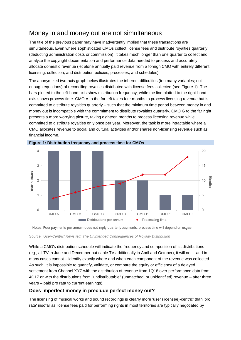# Money in and money out are not simultaneous

The title of the previous paper may have inadvertently implied that these transactions are simultaneous. Even where sophisticated CMOs collect license fees and distribute royalties quarterly (deducting administration costs or commission), it takes much longer than one quarter to collect and analyze the copyright documentation and performance data needed to process and accurately allocate domestic revenue (let alone annually paid revenue from a foreign CMO with entirely different licensing, collection, and distribution policies, processes, and schedules).

The anonymized two-axis graph below illustrates the inherent difficulties (too many variables; not enough equations) of reconciling royalties distributed with license fees collected (see Figure 1). The bars plotted to the left-hand axis show distribution frequency, while the line plotted to the right-hand axis shows process time. CMO A to the far left takes four months to process licensing revenue but is committed to distribute royalties quarterly – such that the minimum time period between money in and money out is incompatible with the commitment to distribute royalties quarterly. CMO G to the far right presents a more worrying picture, taking eighteen months to process licensing revenue while committed to distribute royalties only once per year. Moreover, the task is more intractable where a CMO allocates revenue to social and cultural activities and/or shares non-licensing revenue such as financial income.



**Figure 1: Distribution frequency and process time for CMOs**

Source: *'User-Centric' Revisited: The Unintended Consequences of Royalty Distribution*

While a CMO's distribution schedule will indicate the frequency and composition of its distributions (eg., all TV in June and December but cable TV additionally in April and October), it will not – and in many cases cannot – identify exactly where and when each component of the revenue was collected. As such, it is impossible to quantify, validate, or compare the equity or efficiency of a delayed settlement from Channel XYZ with the distribution of revenue from 1Q18 over performance data from 4Q17 or with the distributions from "undistributable" (unmatched, or unidentified) revenue – after three years – paid pro rata to current earnings).

### **Does imperfect money in preclude perfect money out?**

The licensing of musical works and sound recordings is clearly more 'user (licensee)-centric' than 'pro rata' insofar as license fees paid for performing rights in most territories are typically negotiated by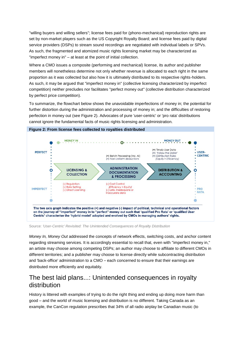"willing buyers and willing sellers"; license fees paid for (phono-mechanical) reproduction rights are set by non-market players such as the US Copyright Royalty Board; and license fees paid by digital service providers (DSPs) to stream sound recordings are negotiated with individual labels or SPVs. As such, the fragmented and atomized music rights licensing market may be characterized as "imperfect money in" – at least at the point of initial collection.

Where a CMO issues a composite (performing and mechanical) license, its author and publisher members will nonetheless determine not only whether revenue is allocated to each right in the same proportion as it was collected but also how it is ultimately distributed to its respective rights-holders. As such, it may be argued that "imperfect money in" (collective licensing characterized by imperfect competition) neither precludes nor facilitates "perfect money out" (collective distribution characterized by perfect price competition).

To summarize, the flowchart below shows the unavoidable imperfections of money in; the potential for further distortion during the administration and processing of money in; and the difficulties of restoring perfection in money out (see Figure 2). Advocates of pure 'user-centric' or 'pro rata' distributions cannot ignore the fundamental facts of music rights licensing and administration.



**Figure 2: From license fees collected to royalties distributed**

Source: *'User-Centric' Revisited: The Unintended Consequences of Royalty Distribution*

*Money In, Money Out* addressed the concepts of network effects, switching costs, and anchor content regarding streaming services. It is accordingly essential to recall that, even with "imperfect money in," an artiste may choose among competing DSPs; an author may choose to affiliate to different CMOs in different territories; and a publisher may choose to license directly while subcontracting distribution and 'back-office' administration to a CMO – each concerned to ensure that their earnings are distributed more efficiently and equitably.

# The best laid plans...: Unintended consequences in royalty distribution

History is littered with examples of trying to do the right thing and ending up doing more harm than good – and the world of music licensing and distribution is no different. Taking Canada as an example, the CanCon regulation prescribes that 34% of all radio airplay be Canadian music (to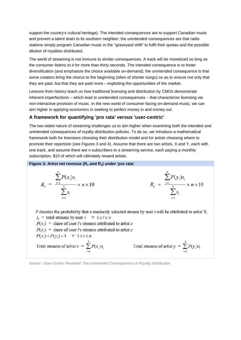support the country's cultural heritage). The intended consequences are to support Canadian music and prevent a talent drain to its southern neighbor; the unintended consequences are that radio stations simply program Canadian music in the "graveyard shift" to fulfil their quotas and the possible dilution of royalties distributed.

The world of streaming is not immune to similar consequences. A track will be monetized so long as the consumer listens to it for more than thirty seconds. The intended consequence is to foster diversification (and emphasize the choice available on-demand); the unintended consequence is that some creators bring the chorus to the beginning (often of shorter songs) so as to ensure not only that they are paid, but that they are paid more – exploiting the opportunities of the market.

Lessons from history teach us how traditional licensing and distribution by CMOs demonstrate inherent imperfections – which lead to unintended consequences – that characterize licensing via non-interactive provision of music. In the new world of consumer-facing on-demand music, we can aim higher in applying economics in seeking to perfect money in and money out.

### **A framework for quantifying 'pro rata' versus 'user-centric'**

The two-sided nature of streaming challenges us to aim higher when examining both the intended and unintended consequences of royalty distribution policies. To do so, we introduce a mathematical framework both for licensees choosing their distribution model and for artists choosing where to promote their repertoire (see Figures 3 and 4). Assume that there are two artists, X and Y, each with one track, and assume there are n subscribers to a streaming service, each paying a monthly subscription, \$10 of which will ultimately reward artists.

#### **Figure 3: Artist net revenue (R<sup>x</sup> and Ry) under 'pro rata'**

$$
R_{x} = \frac{\sum_{i=1}^{n} P(x_{i})s_{i}}{\sum_{i=1}^{n} s_{i}} \times n \times 10
$$
\n
$$
R_{y} = \frac{\sum_{i=1}^{n} P(y_{i})s_{i}}{\sum_{i=1}^{n} s_{i}} \times n \times 10
$$

P denotes the probability that a randomly selected stream by user i will be attributed to artist X.  $s_i$  = total streams by user  $i \quad \forall \; 1 \le i \le n$  $P(x_i)$  = share of user i's streams attributed to artist x  $P(y_i)$  = share of user i's streams attributed to artist y  $P(x_i) + P(y_i) = 1 \quad \forall \; 1 \leq i \leq n$ Total streams of artist  $y = \sum_{i=1}^{n} P(y_i) s_i$ Total streams of artist  $x = \sum_{i=1}^{n} P(x_i) s_i$ 

Source: *'User-Centric' Revisited: The Unintended Consequences of Royalty Distribution*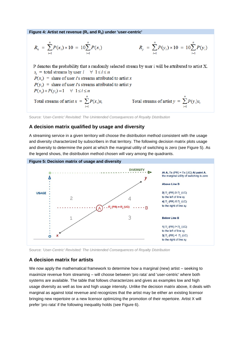**Figure 4: Artist net revenue (R<sup>x</sup> and Ry) under 'user-centric'**

$$
R_{x} = \sum_{i=1}^{n} P(x_{i}) \times 10 = 10 \sum_{i=1}^{n} P(x_{i})
$$
\n
$$
R_{y} = \sum_{i=1}^{n} P(y_{i}) \times 10 = 10 \sum_{i=1}^{n} P(y_{i})
$$

P denotes the probability that a randomly selected stream by user i will be attributed to artist X.  $s_i$  = total streams by user  $i \quad \forall \; 1 \le i \le n$  $P(x_i)$  = share of user *i*'s streams attributed to artist x  $P(y_i)$  = share of user i's streams attributed to artist y  $P(x_i)+P(y_i)=1 \quad \forall \; 1 \leq i \leq n$ Total streams of artist  $x = \sum_{i=1}^{n} P(x_i) s_i$ Total streams of artist  $y = \sum_{i=1}^{n} P(y_i) s_i$ 

Source: *'User-Centric' Revisited: The Unintended Consequences of Royalty Distribution*

#### **A decision matrix qualified by usage and diversity**

A streaming service in a given territory will choose the distribution method consistent with the usage and diversity characterized by subscribers in that territory. The following decision matrix plots usage and diversity to determine the point at which the marginal utility of switching is zero (see Figure 5). As the legend shows, the distribution method chosen will vary among the quadrants.



Source: *'User-Centric' Revisited: The Unintended Consequences of Royalty Distribution*

#### **A decision matrix for artists**

We now apply the mathematical framework to determine how a marginal (new) artist – seeking to maximize revenue from streaming – will choose between 'pro rata' and 'user-centric' where both systems are available. The table that follows characterizes and gives as examples low and high usage diversity as well as low and high usage intensity. Unlike the decision matrix above, it deals with marginal as against total revenue and recognizes that the artist may be either an existing licensor bringing new repertoire or a new licensor optimizing the promotion of their repertoire. Artist X will prefer 'pro rata' if the following inequality holds (see Figure 6).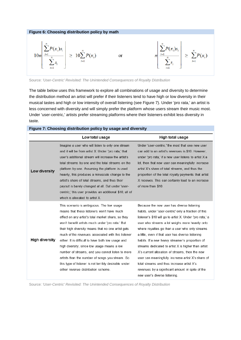

Source: *'User-Centric' Revisited: The Unintended Consequences of Royalty Distribution*

The table below uses this framework to explore all combinations of usage and diversity to determine the distribution method an artist will prefer if their listeners tend to have high or low diversity in their musical tastes and high or low intensity of overall listening (see Figure 7). Under 'pro rata,' an artist is less concerned with diversity and will simply prefer the platform whose users stream their music most. Under 'user-centric,' artists prefer streaming platforms where their listeners exhibit less diversity in taste.

|                       | Low total usage                                                                                                                                                                                                                                                                                                                                                                                                                                                                                                                                                                                                           | High total usage                                                                                                                                                                                                                                                                                                                                                                                                                                                                                                                                                                                                                                                                |
|-----------------------|---------------------------------------------------------------------------------------------------------------------------------------------------------------------------------------------------------------------------------------------------------------------------------------------------------------------------------------------------------------------------------------------------------------------------------------------------------------------------------------------------------------------------------------------------------------------------------------------------------------------------|---------------------------------------------------------------------------------------------------------------------------------------------------------------------------------------------------------------------------------------------------------------------------------------------------------------------------------------------------------------------------------------------------------------------------------------------------------------------------------------------------------------------------------------------------------------------------------------------------------------------------------------------------------------------------------|
| Low diversity         | Imagine a user who will listen to only one stream<br>and it will be from artist X. Under 'pro rata,' that<br>user's additional stream will increase the artist's<br>total streams by one and the total streams on the<br>platform by one. Assuming the platform is used<br>heavily, this produces a minuscule change to the<br>artist's share of total streams, and thus their<br>payout is barely changed at all. But under 'user-<br>centric, this user provides an additional \$10, all of<br>which is allocated to artist X.                                                                                          | Under 'user-centric,' the most that one new user<br>can add to an artist's revenues is \$10. However,<br>under 'pro rata,' if a new user listens to artist X a<br>lot, then that new user can meaningfully increase<br>artist X's share of total streams, and thus the<br>proportion of the total royalty payments that artist<br>X receives. This can certainly lead to an increase<br>of more than \$10.                                                                                                                                                                                                                                                                      |
| <b>High diversity</b> | This scenario is ambiguous. The low usage<br>means that these listeners won't have much<br>effect on any artist's total market share, so they<br>won't benefit artists much under 'pro rata.' But<br>their high diversity means that no one artist gets<br>much of the revenues associated with this listener<br>either. It is difficult to have both low usage and<br>high diversity, since low usage means a low<br>number of streams, and you cannot listen to more<br>artists than the number of songs you stream. So<br>this type of listener is not terribly desirable under<br>either revenue distribution scheme. | Because the new user has diverse listening<br>habits, under 'user-centric' only a fraction of this<br>listener's \$10 will go to artist X. Under 'pro rata,' a<br>user who streams a lot weighs more heavily onto<br>where royalties go than a user who only streams<br>a little, even if that user has diverse listening<br>habits. If a new heavy streamer's proportion of<br>streams dedicated to artist X is higher than artist<br>X's current allocation of streams, then the new<br>user can meaningfully increase artist X's share of<br>total streams and thus increase artist X's<br>revenues by a significant amount in spite of the<br>new user's diverse listening. |

#### **Figure 7: Choosing distribution policy by usage and diversity**

Source: *'User-Centric' Revisited: The Unintended Consequences of Royalty Distribution*